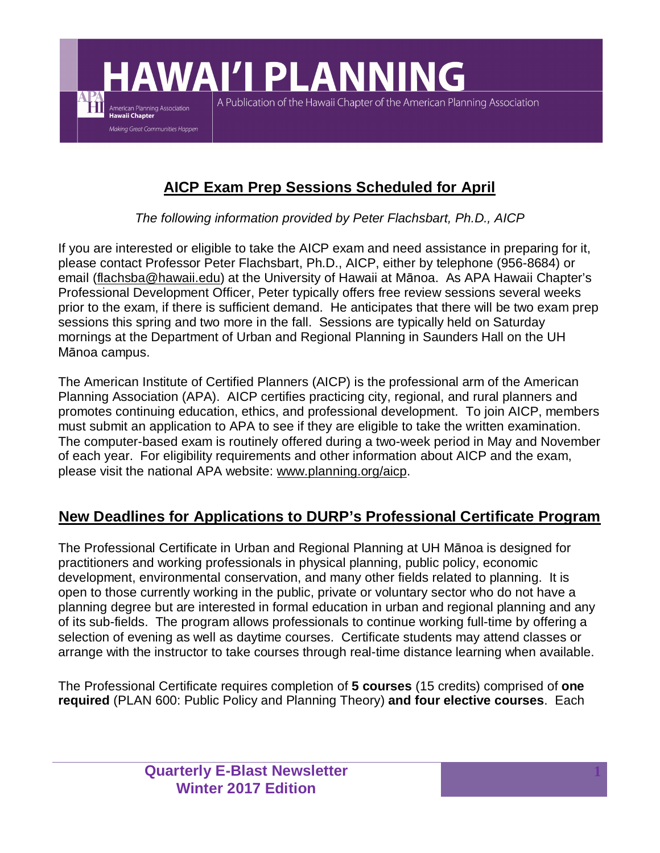**HAWAI'I PLANNING** A Publication of the Hawaii Chapter of the American Planning Association American Planning Association **Hawaii Chapter** Making Great Communities Happen

# **AICP Exam Prep Sessions Scheduled for April**

*The following information provided by Peter Flachsbart, Ph.D., AICP*

If you are interested or eligible to take the AICP exam and need assistance in preparing for it, please contact Professor Peter Flachsbart, Ph.D., AICP, either by telephone (956-8684) or email (flachsba@hawaii.edu) at the University of Hawaii at Mānoa. As APA Hawaii Chapter's Professional Development Officer, Peter typically offers free review sessions several weeks prior to the exam, if there is sufficient demand. He anticipates that there will be two exam prep sessions this spring and two more in the fall. Sessions are typically held on Saturday mornings at the Department of Urban and Regional Planning in Saunders Hall on the UH Mānoa campus.

The American Institute of Certified Planners (AICP) is the professional arm of the American Planning Association (APA). AICP certifies practicing city, regional, and rural planners and promotes continuing education, ethics, and professional development. To join AICP, members must submit an application to APA to see if they are eligible to take the written examination. The computer-based exam is routinely offered during a two-week period in May and November of each year. For eligibility requirements and other information about AICP and the exam, please visit the national APA website: www.planning.org/aicp.

# **New Deadlines for Applications to DURP's Professional Certificate Program**

The Professional Certificate in Urban and Regional Planning at UH Mānoa is designed for practitioners and working professionals in physical planning, public policy, economic development, environmental conservation, and many other fields related to planning. It is open to those currently working in the public, private or voluntary sector who do not have a planning degree but are interested in formal education in urban and regional planning and any of its sub-fields. The program allows professionals to continue working full-time by offering a selection of evening as well as daytime courses. Certificate students may attend classes or arrange with the instructor to take courses through real-time distance learning when available.

The Professional Certificate requires completion of **5 courses** (15 credits) comprised of **one required** (PLAN 600: Public Policy and Planning Theory) **and four elective courses**. Each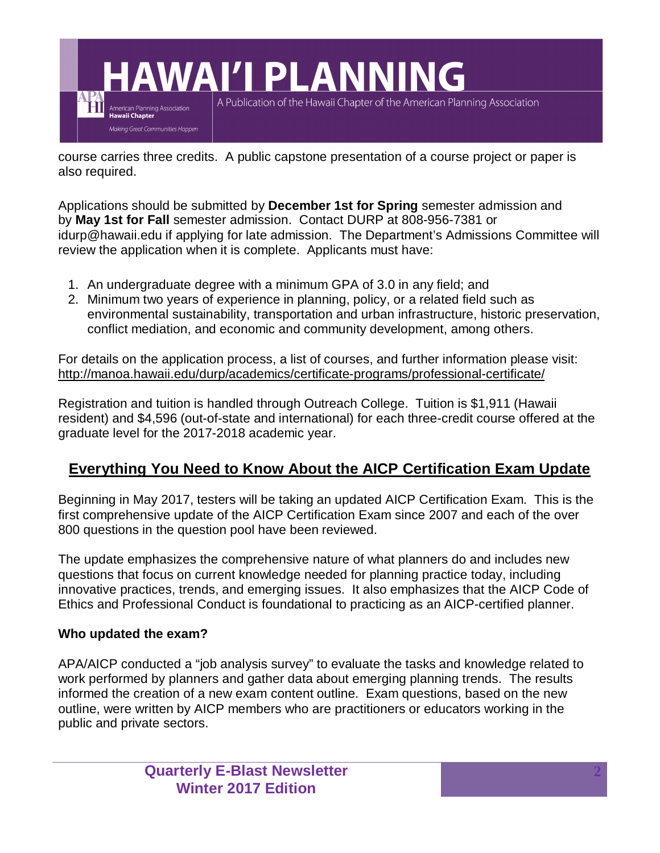

course carries three credits. A public capstone presentation of a course project or paper is also required.

Applications should be submitted by **December 1st for Spring** semester admission and by **May 1st for Fall** semester admission. Contact DURP at 808-956-7381 or idurp@hawaii.edu if applying for late admission. The Department's Admissions Committee will review the application when it is complete. Applicants must have:

- 1. An undergraduate degree with a minimum GPA of 3.0 in any field; and
- 2. Minimum two years of experience in planning, policy, or a related field such as environmental sustainability, transportation and urban infrastructure, historic preservation, conflict mediation, and economic and community development, among others.

For details on the application process, a list of courses, and further information please visit: http://manoa.hawaii.edu/durp/academics/certificate-programs/professional-certificate/

Registration and tuition is handled through Outreach College. Tuition is \$1,911 (Hawaii resident) and \$4,596 (out-of-state and international) for each three-credit course offered at the graduate level for the 2017-2018 academic year.

# **Everything You Need to Know About the AICP Certification Exam Update**

Beginning in May 2017, testers will be taking an updated AICP Certification Exam. This is the first comprehensive update of the AICP Certification Exam since 2007 and each of the over 800 questions in the question pool have been reviewed.

The update emphasizes the comprehensive nature of what planners do and includes new questions that focus on current knowledge needed for planning practice today, including innovative practices, trends, and emerging issues. It also emphasizes that the AICP Code of Ethics and Professional Conduct is foundational to practicing as an AICP-certified planner.

### **Who updated the exam?**

APA/AICP conducted a "job analysis survey" to evaluate the tasks and knowledge related to work performed by planners and gather data about emerging planning trends. The results informed the creation of a new exam content outline. Exam questions, based on the new outline, were written by AICP members who are practitioners or educators working in the public and private sectors.

> **Quarterly E-Blast Newsletter Winter 2017 Edition**